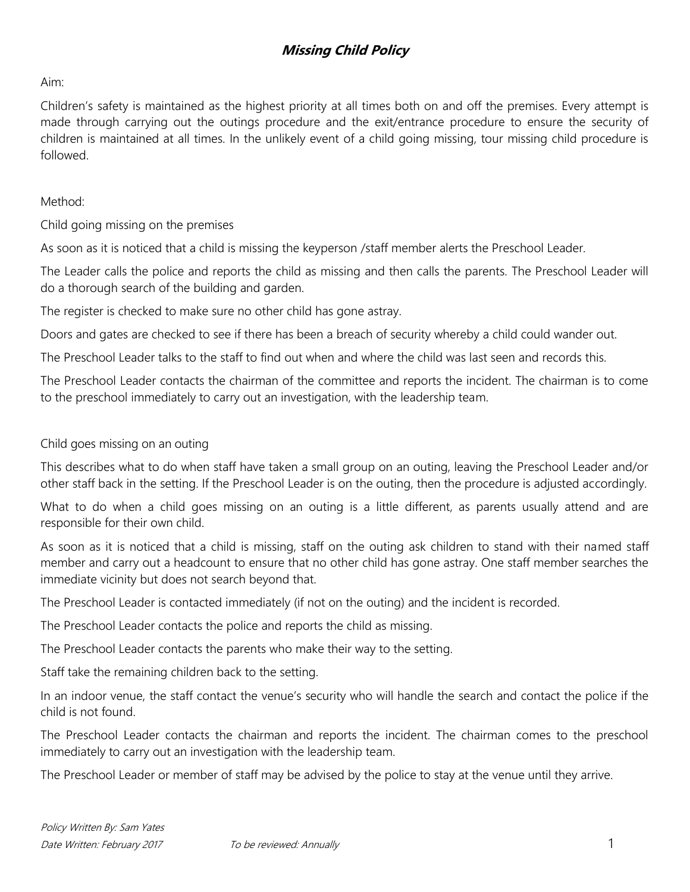## **Missing Child Policy**

Aim:

Children's safety is maintained as the highest priority at all times both on and off the premises. Every attempt is made through carrying out the outings procedure and the exit/entrance procedure to ensure the security of children is maintained at all times. In the unlikely event of a child going missing, tour missing child procedure is followed.

Method:

Child going missing on the premises

As soon as it is noticed that a child is missing the keyperson /staff member alerts the Preschool Leader.

The Leader calls the police and reports the child as missing and then calls the parents. The Preschool Leader will do a thorough search of the building and garden.

The register is checked to make sure no other child has gone astray.

Doors and gates are checked to see if there has been a breach of security whereby a child could wander out.

The Preschool Leader talks to the staff to find out when and where the child was last seen and records this.

The Preschool Leader contacts the chairman of the committee and reports the incident. The chairman is to come to the preschool immediately to carry out an investigation, with the leadership team.

### Child goes missing on an outing

This describes what to do when staff have taken a small group on an outing, leaving the Preschool Leader and/or other staff back in the setting. If the Preschool Leader is on the outing, then the procedure is adjusted accordingly.

What to do when a child goes missing on an outing is a little different, as parents usually attend and are responsible for their own child.

As soon as it is noticed that a child is missing, staff on the outing ask children to stand with their named staff member and carry out a headcount to ensure that no other child has gone astray. One staff member searches the immediate vicinity but does not search beyond that.

The Preschool Leader is contacted immediately (if not on the outing) and the incident is recorded.

The Preschool Leader contacts the police and reports the child as missing.

The Preschool Leader contacts the parents who make their way to the setting.

Staff take the remaining children back to the setting.

In an indoor venue, the staff contact the venue's security who will handle the search and contact the police if the child is not found.

The Preschool Leader contacts the chairman and reports the incident. The chairman comes to the preschool immediately to carry out an investigation with the leadership team.

The Preschool Leader or member of staff may be advised by the police to stay at the venue until they arrive.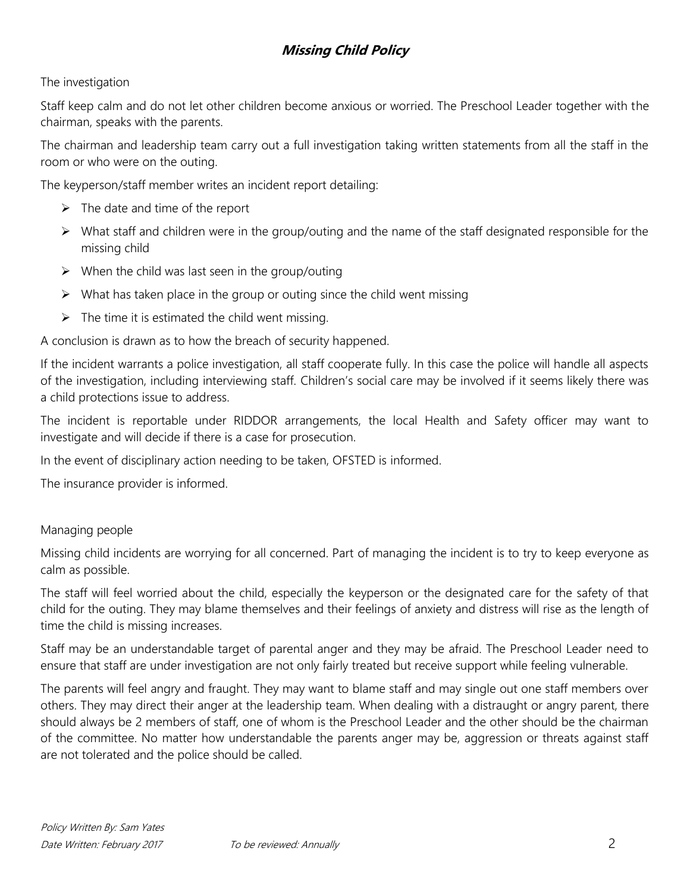# **Missing Child Policy**

### The investigation

Staff keep calm and do not let other children become anxious or worried. The Preschool Leader together with the chairman, speaks with the parents.

The chairman and leadership team carry out a full investigation taking written statements from all the staff in the room or who were on the outing.

The keyperson/staff member writes an incident report detailing:

- $\triangleright$  The date and time of the report
- $\triangleright$  What staff and children were in the group/outing and the name of the staff designated responsible for the missing child
- $\triangleright$  When the child was last seen in the group/outing
- $\triangleright$  What has taken place in the group or outing since the child went missing
- $\triangleright$  The time it is estimated the child went missing.

A conclusion is drawn as to how the breach of security happened.

If the incident warrants a police investigation, all staff cooperate fully. In this case the police will handle all aspects of the investigation, including interviewing staff. Children's social care may be involved if it seems likely there was a child protections issue to address.

The incident is reportable under RIDDOR arrangements, the local Health and Safety officer may want to investigate and will decide if there is a case for prosecution.

In the event of disciplinary action needing to be taken, OFSTED is informed.

The insurance provider is informed.

#### Managing people

Missing child incidents are worrying for all concerned. Part of managing the incident is to try to keep everyone as calm as possible.

The staff will feel worried about the child, especially the keyperson or the designated care for the safety of that child for the outing. They may blame themselves and their feelings of anxiety and distress will rise as the length of time the child is missing increases.

Staff may be an understandable target of parental anger and they may be afraid. The Preschool Leader need to ensure that staff are under investigation are not only fairly treated but receive support while feeling vulnerable.

The parents will feel angry and fraught. They may want to blame staff and may single out one staff members over others. They may direct their anger at the leadership team. When dealing with a distraught or angry parent, there should always be 2 members of staff, one of whom is the Preschool Leader and the other should be the chairman of the committee. No matter how understandable the parents anger may be, aggression or threats against staff are not tolerated and the police should be called.